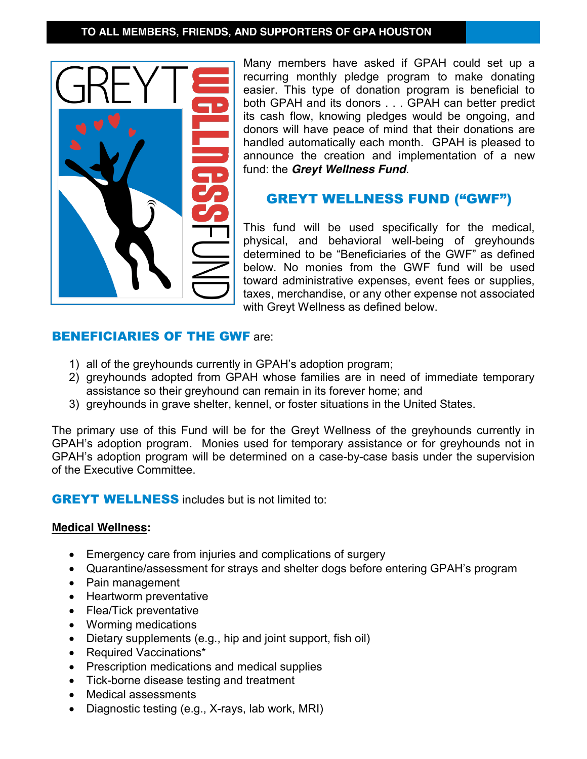### **TO ALL MEMBERS, FRIENDS, AND SUPPORTERS OF GPA HOUSTON**



Many members have asked if GPAH could set up a recurring monthly pledge program to make donating easier. This type of donation program is beneficial to both GPAH and its donors . . . GPAH can better predict its cash flow, knowing pledges would be ongoing, and donors will have peace of mind that their donations are handled automatically each month. GPAH is pleased to announce the creation and implementation of a new fund: the *Greyt Wellness Fund*.

# GREYT WELLNESS FUND ("GWF")

This fund will be used specifically for the medical, physical, and behavioral well-being of greyhounds determined to be "Beneficiaries of the GWF" as defined below. No monies from the GWF fund will be used toward administrative expenses, event fees or supplies, taxes, merchandise, or any other expense not associated with Greyt Wellness as defined below.

### BENEFICIARIES OF THE GWF are:

- 1) all of the greyhounds currently in GPAH's adoption program;
- 2) greyhounds adopted from GPAH whose families are in need of immediate temporary assistance so their greyhound can remain in its forever home; and
- 3) greyhounds in grave shelter, kennel, or foster situations in the United States.

The primary use of this Fund will be for the Greyt Wellness of the greyhounds currently in GPAH's adoption program. Monies used for temporary assistance or for greyhounds not in GPAH's adoption program will be determined on a case-by-case basis under the supervision of the Executive Committee.

**GREYT WELLNESS** includes but is not limited to:

#### **Medical Wellness:**

- Emergency care from injuries and complications of surgery
- Quarantine/assessment for strays and shelter dogs before entering GPAH's program
- Pain management
- Heartworm preventative
- Flea/Tick preventative
- Worming medications
- Dietary supplements (e.g., hip and joint support, fish oil)
- Required Vaccinations\*
- Prescription medications and medical supplies
- Tick-borne disease testing and treatment
- Medical assessments
- Diagnostic testing (e.g., X-rays, lab work, MRI)